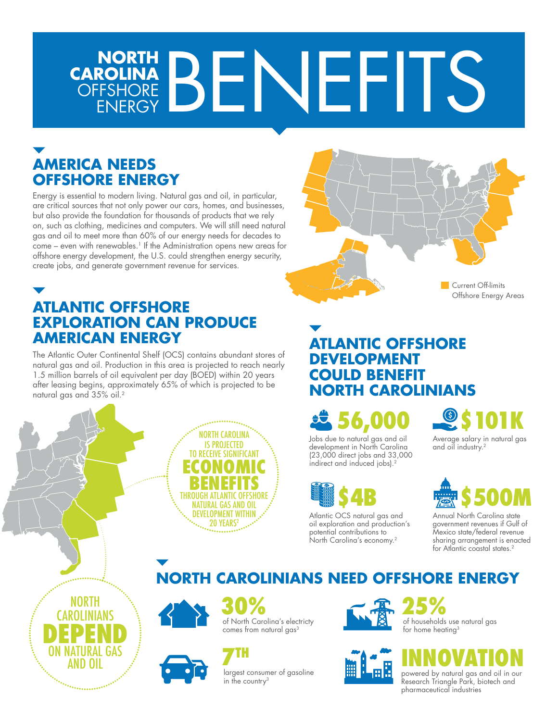# **NORTH CAROLINA** OFFSHORE NORTH<br>FSHORE BENEFITS

# **AMERICA NEEDS OFFSHORE ENERGY**

Energy is essential to modern living. Natural gas and oil, in particular, are critical sources that not only power our cars, homes, and businesses, but also provide the foundation for thousands of products that we rely on, such as clothing, medicines and computers. We will still need natural gas and oil to meet more than 60% of our energy needs for decades to come – even with renewables.<sup>1</sup> If the Administration opens new areas for offshore energy development, the U.S. could strengthen energy security, create jobs, and generate government revenue for services.

**ATLANTIC OFFSHORE EXPLORATION CAN PRODUCE AMERICAN ENERGY**

The Atlantic Outer Continental Shelf (OCS) contains abundant stores of natural gas and oil. Production in this area is projected to reach nearly 1.5 million barrels of oil equivalent per day (BOED) within 20 years after leasing begins, approximately 65% of which is projected to be natural gas and 35% oil.2





Offshore Energy Areas

#### **ATLANTIC OFFSHORE DEVELOPMENT COULD BENEFIT NORTH CAROLINIANS**

**56,000**

Jobs due to natural gas and oil development in North Carolina (23,000 direct jobs and 33,000 indirect and induced jobs).<sup>2</sup>



Atlantic OCS natural gas and oil exploration and production's potential contributions to North Carolina's economy.<sup>2</sup>



Average salary in natural gas and oil industry.<sup>2</sup>



Annual North Carolina state government revenues if Gulf of Mexico state/federal revenue sharing arrangement is enacted for Atlantic coastal states.<sup>2</sup>

# **NORTH CAROLINIANS NEED OFFSHORE ENERGY**



NORTH CAROLINIANS

**DEPEND** ON NATURAL GAS



of North Carolina's electricty comes from natural gas<sup>3</sup> **30% 25%**



largest consumer of gasoline in the country<sup>3</sup>





of households use natural gas for home heating<sup>3</sup>